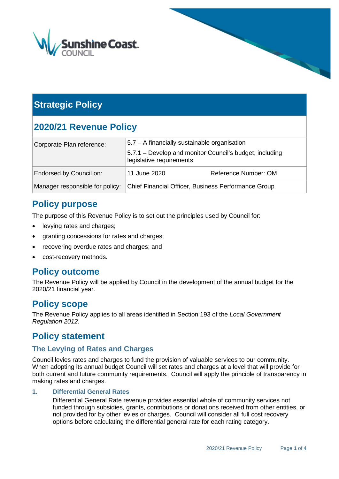

# **Strategic Policy**

# **2020/21 Revenue Policy**

| Corporate Plan reference:       | 5.7 - A financially sustainable organisation                                        |                      |  |
|---------------------------------|-------------------------------------------------------------------------------------|----------------------|--|
|                                 | 5.7.1 – Develop and monitor Council's budget, including<br>legislative requirements |                      |  |
| Endorsed by Council on:         | 11 June 2020                                                                        | Reference Number: OM |  |
| Manager responsible for policy: | Chief Financial Officer, Business Performance Group                                 |                      |  |

## **Policy purpose**

The purpose of this Revenue Policy is to set out the principles used by Council for:

- levying rates and charges;
- granting concessions for rates and charges;
- recovering overdue rates and charges; and
- cost-recovery methods.

## **Policy outcome**

The Revenue Policy will be applied by Council in the development of the annual budget for the 2020/21 financial year.

## **Policy scope**

The Revenue Policy applies to all areas identified in Section 193 of the *Local Government Regulation 2012*.

### **Policy statement**

### **The Levying of Rates and Charges**

Council levies rates and charges to fund the provision of valuable services to our community. When adopting its annual budget Council will set rates and charges at a level that will provide for both current and future community requirements. Council will apply the principle of transparency in making rates and charges.

#### **1. Differential General Rates**

Differential General Rate revenue provides essential whole of community services not funded through subsidies, grants, contributions or donations received from other entities, or not provided for by other levies or charges. Council will consider all full cost recovery options before calculating the differential general rate for each rating category.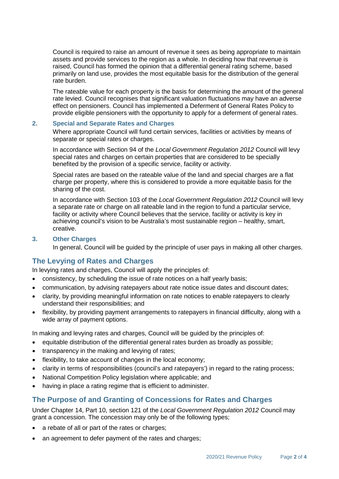Council is required to raise an amount of revenue it sees as being appropriate to maintain assets and provide services to the region as a whole. In deciding how that revenue is raised, Council has formed the opinion that a differential general rating scheme, based primarily on land use, provides the most equitable basis for the distribution of the general rate burden.

The rateable value for each property is the basis for determining the amount of the general rate levied. Council recognises that significant valuation fluctuations may have an adverse effect on pensioners. Council has implemented a Deferment of General Rates Policy to provide eligible pensioners with the opportunity to apply for a deferment of general rates.

#### **2. Special and Separate Rates and Charges**

Where appropriate Council will fund certain services, facilities or activities by means of separate or special rates or charges.

In accordance with Section 94 of the *Local Government Regulation 2012* Council will levy special rates and charges on certain properties that are considered to be specially benefited by the provision of a specific service, facility or activity.

Special rates are based on the rateable value of the land and special charges are a flat charge per property, where this is considered to provide a more equitable basis for the sharing of the cost.

In accordance with Section 103 of the *Local Government Regulation 2012* Council will levy a separate rate or charge on all rateable land in the region to fund a particular service, facility or activity where Council believes that the service, facility or activity is key in achieving council's vision to be Australia's most sustainable region – healthy, smart, creative.

#### **3. Other Charges**

In general, Council will be guided by the principle of user pays in making all other charges.

### **The Levying of Rates and Charges**

In levying rates and charges, Council will apply the principles of:

- consistency, by scheduling the issue of rate notices on a half yearly basis;
- communication, by advising ratepayers about rate notice issue dates and discount dates;
- clarity, by providing meaningful information on rate notices to enable ratepayers to clearly understand their responsibilities; and
- flexibility, by providing payment arrangements to ratepayers in financial difficulty, along with a wide array of payment options.

In making and levying rates and charges, Council will be guided by the principles of:

- equitable distribution of the differential general rates burden as broadly as possible;
- transparency in the making and levying of rates;
- flexibility, to take account of changes in the local economy;
- clarity in terms of responsibilities (council's and ratepayers') in regard to the rating process;
- National Competition Policy legislation where applicable; and
- having in place a rating regime that is efficient to administer.

### **The Purpose of and Granting of Concessions for Rates and Charges**

Under Chapter 14, Part 10, section 121 of the *Local Government Regulation 2012* Council may grant a concession. The concession may only be of the following types;

- a rebate of all or part of the rates or charges;
- an agreement to defer payment of the rates and charges;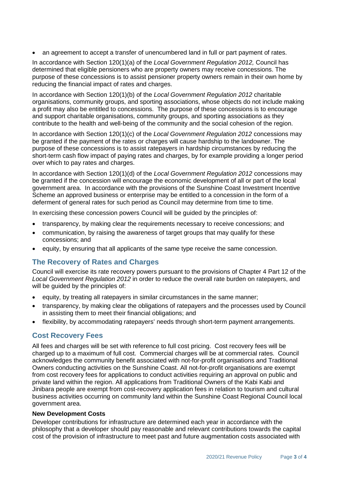• an agreement to accept a transfer of unencumbered land in full or part payment of rates.

In accordance with Section 120(1)(a) of the *Local Government Regulation 2012,* Council has determined that eligible pensioners who are property owners may receive concessions. The purpose of these concessions is to assist pensioner property owners remain in their own home by reducing the financial impact of rates and charges.

In accordance with Section 120(1)(b) of the *Local Government Regulation 2012* charitable organisations, community groups, and sporting associations, whose objects do not include making a profit may also be entitled to concessions. The purpose of these concessions is to encourage and support charitable organisations, community groups, and sporting associations as they contribute to the health and well-being of the community and the social cohesion of the region.

In accordance with Section 120(1)(c) of the *Local Government Regulation 2012* concessions may be granted if the payment of the rates or charges will cause hardship to the landowner. The purpose of these concessions is to assist ratepayers in hardship circumstances by reducing the short-term cash flow impact of paying rates and charges, by for example providing a longer period over which to pay rates and charges.

In accordance with Section 120(1)(d) of the *Local Government Regulation 2012* concessions may be granted if the concession will encourage the economic development of all or part of the local government area. In accordance with the provisions of the Sunshine Coast Investment Incentive Scheme an approved business or enterprise may be entitled to a concession in the form of a deferment of general rates for such period as Council may determine from time to time.

In exercising these concession powers Council will be guided by the principles of:

- transparency, by making clear the requirements necessary to receive concessions; and
- communication, by raising the awareness of target groups that may qualify for these concessions; and
- equity, by ensuring that all applicants of the same type receive the same concession.

### **The Recovery of Rates and Charges**

Council will exercise its rate recovery powers pursuant to the provisions of Chapter 4 Part 12 of the *Local Government Regulation 2012* in order to reduce the overall rate burden on ratepayers, and will be quided by the principles of:

- equity, by treating all ratepayers in similar circumstances in the same manner;
- transparency, by making clear the obligations of ratepayers and the processes used by Council in assisting them to meet their financial obligations; and
- flexibility, by accommodating ratepayers' needs through short-term payment arrangements.

### **Cost Recovery Fees**

All fees and charges will be set with reference to full cost pricing. Cost recovery fees will be charged up to a maximum of full cost. Commercial charges will be at commercial rates. Council acknowledges the community benefit associated with not-for-profit organisations and Traditional Owners conducting activities on the Sunshine Coast. All not-for-profit organisations are exempt from cost recovery fees for applications to conduct activities requiring an approval on public and private land within the region. All applications from Traditional Owners of the Kabi Kabi and Jinibara people are exempt from cost-recovery application fees in relation to tourism and cultural business activities occurring on community land within the Sunshine Coast Regional Council local government area.

#### **New Development Costs**

Developer contributions for infrastructure are determined each year in accordance with the philosophy that a developer should pay reasonable and relevant contributions towards the capital cost of the provision of infrastructure to meet past and future augmentation costs associated with